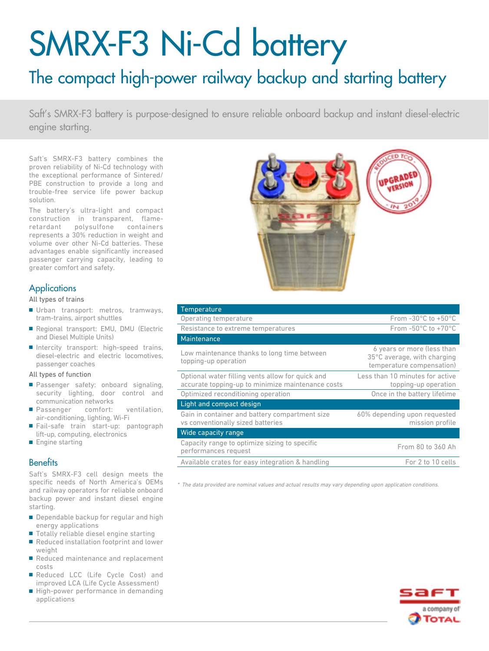# SMRX-F3 Ni-Cd battery

# The compact high-power railway backup and starting battery

Saft's SMRX-F3 battery is purpose-designed to ensure reliable onboard backup and instant diesel-electric engine starting.

Saft's SMRX-F3 battery combines the proven reliability of Ni-Cd technology with the exceptional performance of Sintered/ PBE construction to provide a long and trouble-free service life power backup solution.

The battery's ultra-light and compact construction in transparent, flameretardant polysulfone containers represents a 30% reduction in weight and volume over other Ni-Cd batteries. These advantages enable significantly increased passenger carrying capacity, leading to greater comfort and safety.

### **Applications**

All types of trains

- Urban transport: metros, tramways, tram-trains, airport shuttles
- Regional transport: EMU, DMU (Electric and Diesel Multiple Units)
- Intercity transport: high-speed trains, diesel-electric and electric locomotives, passenger coaches

#### All types of function

- Passenger safety: onboard signaling, security lighting, door control and communication networks
- Passenger comfort: ventilation, air-conditioning, lighting, Wi-Fi
- Fail-safe train start-up: pantograph lift-up, computing, electronics
- Engine starting

#### **Benefits**

Saft's SMRX-F3 cell design meets the specific needs of North America's OEMs and railway operators for reliable onboard backup power and instant diesel engine starting.

- Dependable backup for regular and high energy applications
- Totally reliable diesel engine starting
- Reduced installation footprint and lower weight
- Reduced maintenance and replacement costs
- Reduced LCC (Life Cycle Cost) and improved LCA (Life Cycle Assessment)
- High-power performance in demanding applications



| Temperature                                                                                           |                                                                                        |
|-------------------------------------------------------------------------------------------------------|----------------------------------------------------------------------------------------|
| Operating temperature                                                                                 | From $-30^{\circ}$ C to $+50^{\circ}$ C                                                |
| Resistance to extreme temperatures                                                                    | From $-50^{\circ}$ C to $+70^{\circ}$ C                                                |
| <b>Maintenance</b>                                                                                    |                                                                                        |
| Low maintenance thanks to long time between<br>topping-up operation                                   | 6 years or more (less than<br>35°C average, with charging<br>temperature compensation) |
| Optional water filling vents allow for quick and<br>accurate topping-up to minimize maintenance costs | Less than 10 minutes for active<br>topping-up operation                                |
| Optimized reconditioning operation                                                                    | Once in the battery lifetime                                                           |
| Light and compact design                                                                              |                                                                                        |
| Gain in container and battery compartment size<br>vs conventionally sized batteries                   | 60% depending upon requested<br>mission profile                                        |
| Wide capacity range                                                                                   |                                                                                        |
| Capacity range to optimize sizing to specific<br>performances request                                 | From 80 to 360 Ah                                                                      |
| Available crates for easy integration & handling                                                      | For 2 to 10 cells                                                                      |

\* The data provided are nominal values and actual results may vary depending upon application conditions.